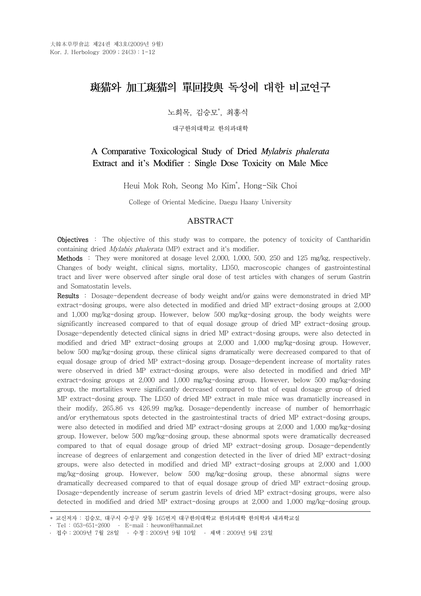# 斑猫와 加工斑猫의 單回投與 독성에 대한 비교연구

노희목, 김승모<sup>\*</sup>, 최홍식

대구한의대학교 한의과대학

## A Comparative Toxicological Study of Dried *Mylabris phalerata* Extract and it's Modifier : Single Dose Toxicity on Male Mice

Heui Mok Roh, Seong Mo Kim\* , Hong-Sik Choi

College of Oriental Medicine, Daegu Haany University

## ABSTRACT

Objectives : The objective of this study was to compare, the potency of toxicity of Cantharidin containing dried Mylabis phalerata (MP) extract and it's modifier.

Methods : They were monitored at dosage level 2,000, 1,000, 500, 250 and 125 mg/kg, respectively. Changes of body weight, clinical signs, mortality, LD50, macroscopic changes of gastrointestinal tract and liver were observed after single oral dose of test articles with changes of serum Gastrin and Somatostatin levels.

Results : Dosage-dependent decrease of body weight and/or gains were demonstrated in dried MP extract-dosing groups, were also detected in modified and dried MP extract-dosing groups at 2,000 and 1,000 mg/kg-dosing group. However, below 500 mg/kg-dosing group, the body weights were significantly increased compared to that of equal dosage group of dried MP extract-dosing group. Dosage-dependently detected clinical signs in dried MP extract-dosing groups, were also detected in modified and dried MP extract-dosing groups at 2,000 and 1,000 mg/kg-dosing group. However, below 500 mg/kg-dosing group, these clinical signs dramatically were decreased compared to that of equal dosage group of dried MP extract-dosing group. Dosage-dependent increase of mortality rates were observed in dried MP extract-dosing groups, were also detected in modified and dried MP extract-dosing groups at 2,000 and 1,000 mg/kg-dosing group. However, below 500 mg/kg-dosing group, the mortalities were significantly decreased compared to that of equal dosage group of dried MP extract-dosing group. The LD50 of dried MP extract in male mice was dramaticlly increased in their modify, 265.86 vs 426.99 mg/kg. Dosage-dependently increase of number of hemorrhagic and/or erythematous spots detected in the gastrointestinal tracts of dried MP extract-dosing groups, were also detected in modified and dried MP extract-dosing groups at 2,000 and 1,000 mg/kg-dosing group. However, below 500 mg/kg-dosing group, these abnormal spots were dramatically decreased compared to that of equal dosage group of dried MP extract-dosing group. Dosage-dependently increase of degrees of enlargement and congestion detected in the liver of dried MP extract-dosing groups, were also detected in modified and dried MP extract-dosing groups at 2,000 and 1,000 mg/kg-dosing group. However, below 500 mg/kg-dosing group, these abnormal signs were dramatically decreased compared to that of equal dosage group of dried MP extract-dosing group. Dosage-dependently increase of serum gastrin levels of dried MP extract-dosing groups, were also detected in modified and dried MP extract-dosing groups at 2,000 and 1,000 mg/kg-dosing group.

<sup>\*</sup> 교신저자 : 김승모, 대구시 수성구 상동 165번지 대구한의대학교 한의과대학 한의학과 내과학교실

<sup>․</sup> Tel : 053-651-2600 ․ E-mail : heuwon@hanmail.net

<sup>․</sup> 접수:2009년 7월 28일 ․ 수정:2009년 9월 10일 ․ 채택:2009년 9월 23일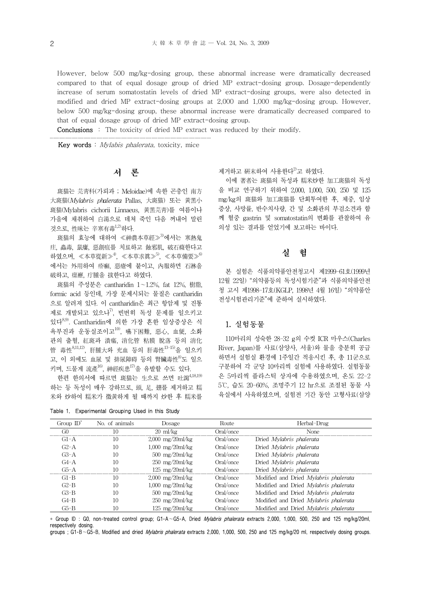However, below 500 mg/kg-dosing group, these abnormal increase were dramatically decreased compared to that of equal dosage group of dried MP extract-dosing group. Dosage-dependently increase of serum somatostatin levels of dried MP extract-dosing groups, were also detected in modified and dried MP extract-dosing groups at 2,000 and 1,000 mg/kg-dosing group. However, below 500 mg/kg-dosing group, these abnormal increase were dramatically decreased compared to that of equal dosage group of dried MP extract-dosing group.

Conclusions : The toxicity of dried MP extract was reduced by their modify.

Key words : Mylabis phalerata, toxicity, mice

## 서 론

斑猫는 芫靑科(가뢰과 ; Meloidae)에 속한 곤충인 南方 大斑猫(Mylabris phalerata Pallas, 大斑猫) 또는 黃黑小 斑猫(Mylabris cichorii Linnaeus, 黃黑芫靑)를 여름이나 가을에 채취하여 白湯으로 데쳐 죽인 다음 꺼내어 말린 것으로, 性味는 辛寒有毒1,2)하다.

 $\mathbb{R}$ 猫의 효능에 대하여 ≪神農本草經≫ $^{3}$ 에서는 寒熱鬼 疰, 蟲毒, 鼠瘻, 惡創疽를 치료하고 蝕邪肌, 破石癃한다고 하였으며, 《本草從新》 $^{4}$ , 《本草求眞》 $^{5}$ , 《本草備要》 $^{6}$ 에서는 外用하여 疥癬, 惡瘡에 붙이고, 內服하면 石淋을 破하고, 瘰癧, 疔腫을 拔한다고 하였다.

斑猫의 주성분은 cantharidin 1~1.2%, fat 12%, 樹脂, formic acid 등인데, 가장 문제시되는 물질은 cantharidin 으로 알려져 있다. 이 cantharidin은 최근 항암제 및 진통 제로 개발되고 있으나 $^{7}$ , 빈번히 독성 문제를 일으키고 있다8,9) . Cantharidin에 의한 가장 흔한 임상증상은 식 욕부진과 운동실조이고<sup>10</sup>, 嚥下困難, 惡心, 血便, 소화 관의 출혈, 紅斑과 潰瘍, 消化管 粘膜 脫落 등의 消化 管 毒性8,11,12), 肝腫大와 充血 등의 肝毒性13-15)을 일으키 고, 이 외에도 血尿 및 排尿障碍 등의 腎臟毒性8)도 일으 키며, 드물게 流產 $^{16}$ , 神經疾患 $^{17}$ 을 유발할 수도 있다.

한편 한의서에 따르면 斑猫는 生으로 쓰면 吐瀉  $4,18,19$ 하는 등 독성이 매우 강하므로, 頭, 足, 翅를 제거하고 糯 米와 炒하여 糯米가 微黃하게 될 때까지 炒한 후 糯米를

| Table 1. Experimental Grouping Used in this Study |  |  |  |  |
|---------------------------------------------------|--|--|--|--|
|---------------------------------------------------|--|--|--|--|

제거하고 硏末하여 사용한다 $^{2}$ 고 하였다.

이에 著者는 斑猫의 독성과 糯米炒한 加工斑猫의 독성 을 비교 연구하기 위하여 2,000, 1,000, 500, 250 및 125 mg/kg의 斑猫와 加工斑猫를 단회투여한 후, 체중, 임상 증상, 사망률, 반수치사량, 간 및 소화관의 부검소견과 함 께 혈중 gastrin 및 somatostatin의 변화를 관찰하여 유 의성 있는 결과를 얻었기에 보고하는 바이다.

## 실 험

본 실험은 식품의약품안전청고시 제1999-61호(1999년 12월 22일) "의약품등의 독성시험기준"과 식품의약품안전 청 고시 제1998-17호(KGLP, 1998년 4월 16일) "의약품안 전성시험관리기준"에 준하여 실시하였다.

## 1. 실험동물

110마리의 성숙한 28-32 g의 수컷 ICR 마우스(Charles River, Japan)를 사료(삼양사, 서울)와 물을 충분히 공급 하면서 실험실 환경에 1주일간 적응시킨 후, 총 11군으로 구분하여 각 군당 10마리씩 실험에 사용하였다. 실험동물 은 5마리씩 플라스틱 상자에 수용하였으며, 온도 22-2 5℃, 습도 20-60%, 조명주기 12 hr으로 조절된 동물 사 육실에서 사육하였으며, 실험전 기간 동안 고형사료(삼양

| Group $ID^*$ | No. of animals | Dosage                                  | Route     | Herbal-Drug                           |
|--------------|----------------|-----------------------------------------|-----------|---------------------------------------|
| GO           | 10             | $20 \text{ ml/kg}$                      | Oral/once | None                                  |
| $G1-A$       | 10             | $2,000 \, \text{mg}/20 \, \text{ml/kg}$ | Oral/once | Dried <i>Mylabris phalerata</i>       |
| $G2-A$       | 10             | $1,000 \, \text{mg}/20 \, \text{ml/kg}$ | Oral/once | Dried Mylabris phalerata              |
| $G3-A$       | 10             | $500 \text{ mg}/20 \text{ml/kg}$        | Oral/once | Dried Mylabris phalerata              |
| $G4-A$       | 10             | $250 \text{ mg}/20 \text{ml/kg}$        | Oral/once | Dried Mylabris phalerata              |
| $G5-A$       |                | $125 \text{ mg}/20 \text{ml/kg}$        | Oral/once | Dried Mylabris phalerata              |
| $G1 - B$     | 10             | $2,000 \, \text{mg}/20 \, \text{ml/kg}$ | Oral/once | Modified and Dried Mylabris phalerata |
| $G2-B$       | 10             | $1,000 \, \text{mg}/20 \, \text{ml/kg}$ | Oral/once | Modified and Dried Mylabris phalerata |
| $G3-B$       | 10             | $500 \text{ mg}/20 \text{ml/kg}$        | Oral/once | Modified and Dried Mylabris phalerata |
| $G4-B$       | 10             | $250 \, \text{mg}/20 \, \text{ml/kg}$   | Oral/once | Modified and Dried Mylabris phalerata |
| G5-B         | 10             | $125 \text{ mg}/20 \text{ml/kg}$        | Oral/once | Modified and Dried Mylabris phalerata |

\* Group ID : G0, non-treated control group; G1-A~G5-A, Dried Mylabris phalerata extracts 2,000, 1,000, 500, 250 and 125 mg/kg/20ml, respectively dosing.

groups : G1-B~G5-B, Modified and dried *Mylabris phalerata* extracts 2,000, 1,000, 500, 250 and 125 mg/kg/20 ml, respectively dosing groups.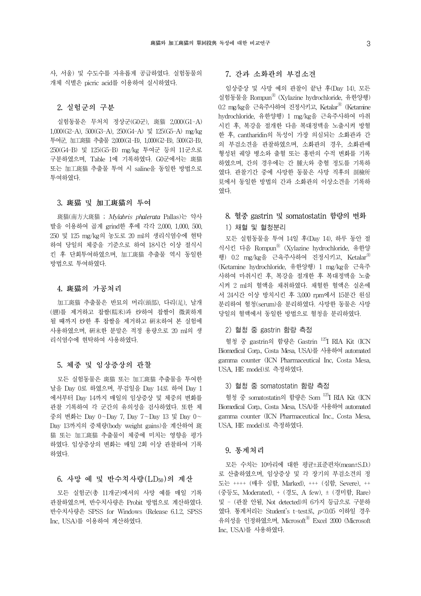사, 서울) 및 수도수를 자유롭게 공급하였다. 실험동물의 개체 식별은 picric acid를 이용하여 실시하였다.

## 2. 실험군의 구분

실험동물은 무처치 정상군(G0군), 斑猫 2,000(G1-A) 1,000(G2-A), 500(G3-A), 250(G4-A) 및 125(G5-A) mg/kg 투여군, 加工斑猫 추출물 2,000(G1-B), 1,000(G2-B), 500(G3-B), 250(G4-B) 및 125(G5-B) mg/kg 투여군 등의 11군으로 구분하였으며, Table 1에 기록하였다. G0군에서는 斑猫 또는 加工斑猫 추출물 투여 시 saline을 동일한 방법으로 투여하였다.

#### 3. 斑猫 및 加工斑猫의 투여

斑猫(南方大斑猫 ; Mylabris phalerata Pallas)는 약사 발을 이용하여 곱게 grind한 후에 각각 2,000, 1,000, 500, 250 및 125 mg/kg의 농도로 20 ml의 생리식염수에 현탁 하여 당일의 체중을 기준으로 하여 18시간 이상 절식시 킨 후 단회투여하였으며, 加工斑猫 추출물 역시 동일한 방법으로 투여하였다.

#### 4. 斑猫의 가공처리

加工斑猫 추출물은 반묘의 머리(頭部), 다리(足), 날개 (翅)를 제거하고 찹쌀(糯米)과 炒하여 찹쌀이 微黃하게 될 때까지 炒한 후 찹쌀을 제거하고 硏末하여 본 실험에 사용하였으며, 硏末한 분말은 적정 용량으로 20 ml의 생 리식염수에 현탁하여 사용하였다.

### 5. 체중 및 임상증상의 관찰

모든 실험동물은 斑猫 또는 加工斑猫 추출물을 투여한 날을 Day 0로 하였으며, 부검일을 Day 14로 하여 Day 1 에서부터 Day 14까지 매일의 임상증상 및 체중의 변화를 관찰 기록하여 각 군간의 유의성을 검사하였다. 또한 체 중의 변화는 Day 0~Day 7, Day 7~Day 13 및 Day 0~ Day 13까지의 증체량(body weight gains)을 계산하여 斑 猫 또는 加工斑猫 추출물이 체중에 미치는 영향을 평가 하였다. 임상증상의 변화는 매일 2회 이상 관찰하여 기록 하였다.

## 6. 사망 예 및 반수치사량(LD50)의 계산

모든 실험군(총 11개군)에서의 사망 예를 매일 기록 관찰하였으며, 반수치사량은 Probit 방법으로 계산하였다. 반수치사량은 SPSS for Windows (Release 6.1.2, SPSS Inc, USA)를 이용하여 계산하였다.

## 7. 간과 소화관의 부검소견

임상증상 및 사망 예의 관찰이 끝난 후(Day 14), 모든 실험동물을 RompunⓇ (Xylazine hydrochloride, 유한양행) 0.2 mg/kg을 근육주사하여 진정시키고, Ketalar<sup>®</sup> (Ketamine hydrochloride, 유한양행) 1 mg/kg을 근육주사하여 마취 시킨 후, 복강을 절개한 다음 복대정맥을 노출시켜 방혈 한 후, cantharidin의 독성이 가장 의심되는 소화관과 간 의 부검소견을 관찰하였으며, 소화관의 경우, 소화관에 형성된 궤양 병소와 출혈 또는 홍반의 수적 변화를 기록 하였으며, 간의 경우에는 간 腫大와 충혈 정도를 기록하 였다. 관찰기간 중에 사망한 동물은 사망 직후의 剖檢所 見에서 동일한 방법의 간과 소화관의 이상소견을 기록하 였다.

## 8. 혈중 gastrin 및 somatostatin 함량의 변화 1) 채혈 및 혈청분리

모든 실험동물을 투여 14일 후(Day 14), 하루 동안 절 식시킨 다음 RompunⓇ (Xylazine hydrochloride, 유한양 행) 0.2 mg/kg을 근육주사하여 진정시키고, Ketalar<sup>®</sup> (Ketamine hydrochloride, 유한양행) 1 mg/kg을 근육주 사하여 마취시킨 후, 복강을 절개한 후 복대정맥을 노출 시켜 2 ml의 혈액을 채취하였다. 채혈한 혈액은 실온에 서 24시간 이상 방치시킨 후 3,000 rpm에서 15분간 원심 분리하여 혈청(serum)을 분리하였다. 사망한 동물은 사망 당일의 혈액에서 동일한 방법으로 혈청을 분리하였다.

#### 2) 혈청 중 gastrin 함량 측정

혈청 중 gastrin의 함량은 Gastrin 125I RIA Kit (ICN Biomedical Corp., Costa Mesa, USA)를 사용하여 automated gamma counter (ICN Pharmaceutical Inc, Costa Mesa, USA, HE model)로 측정하였다.

#### 3) 혈청 중 somatostatin 함량 측정

혈청 중 somatostatin의 함량은 Som 125I RIA Kit (ICN Biomedical Corp., Costa Mesa, USA)를 사용하여 automated gamma counter (ICN Pharmaceutical Inc., Costa Mesa, USA, HE model)로 측정하였다.

#### 9. 통계처리

모든 수치는 10마리에 대한 평균±표준편차(mean±S.D.) 로 산출하였으며, 임상증상 및 각 장기의 부검소견의 정 도는 ++++ (매우 심함, Marked), +++ (심함, Severe), ++ (중등도, Moderated), + (경도, A few), ± (경미함, Rare) 및 - (관찰 안됨, Not detected)의 6가지 등급으로 구분하 였다. 통계처리는 Student's t-test로, p<0.05 이하일 경우 유의성을 인정하였으며, Microsoft® Excel 2000 (Microsoft Inc, USA)를 사용하였다.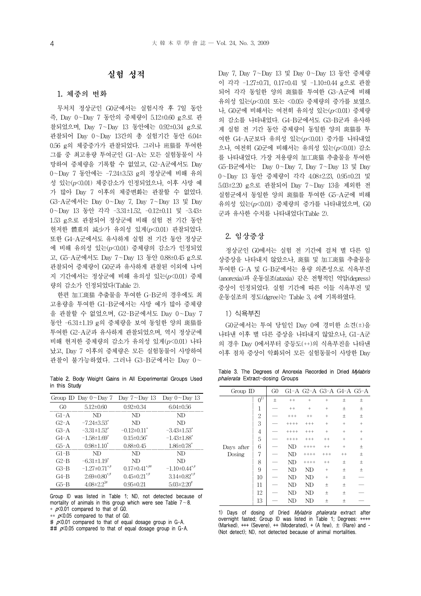## 실험 성적

### 1. 체중의 변화

무처치 정상군인 G0군에서는 실험시작 후 7일 동안 즉, Day 0~Day 7 동안의 증체량이 5.12±0.60 g으로 관 찰되었으며, Day 7~Day 13 동안에는 0.92±0.34 g으로 관찰되어 Day 0~Day 13간의 총 실험기간 동안 6.04± 0.56 g의 체중증가가 관찰되었다. 그러나 班猫를 투여한 그룹 중 최고용량 투여군인 G1-A는 모든 실험동물이 사 망하여 증체량을 기록할 수 없었고, G2-A군에서도 Day 0~Day 7 동안에는 -7.24±3.53 g의 정상군에 비해 유의 성 있는(p<0.01) 체중감소가 인정되었으나, 이후 사망 예 가 많아 Day 7 이후의 체중변화는 관찰할 수 없었다. G3-A군에서는 Day 0~Day 7, Day 7~Day 13 및 Day 0~Day 13 동안 각각 -3.31±1.52, -0.12±0.11 및 -3.43± 1.53 g으로 관찰되어 정상군에 비해 실험 전 기간 동안 현저한 體重의 減少가 유의성 있게(p<0.01) 관찰되었다. 또한 G4-A군에서도 유사하게 실험 전 기간 동안 정상군 에 비해 유의성 있는(p<0.01) 증체량의 감소가 인정되었 고, G5-A군에서도 Day 7~Day 13 동안 0.88±0.45 g으로 관찰되어 증체량이 G0군과 유사하게 관찰된 이외에 나머 지 기간에서는 정상군에 비해 유의성 있는(p<0.01) 증체 량의 감소가 인정되었다(Table 2).

한편 加工斑猫 추출물을 투여한 G-B군의 경우에도 최 고용량을 투여한 G1-B군에서는 사망 예가 많아 증체량 을 관찰할 수 없었으며, G2-B군에서도 Day 0~Day 7 동안 -6.31±1.19 g의 증체량을 보여 동일한 양의 斑猫를 투여한 G2-A군과 유사하게 관찰되었으며, 역시 정상군에 비해 현저한 증체량의 감소가 유의성 있게(p<0.01) 나타 났고, Day 7 이후의 증체량은 모든 실험동물이 사망하여 관찰이 불가능하였다. 그러나 G3-B군에서는 Day 0~

Table 2. Body Weight Gains in All Experimental Groups Used in this Study

|                | Group ID Day $0 \sim$ Day 7    | Day $7\neg$ Day 13              | Day $0\neg$ Day 13            |
|----------------|--------------------------------|---------------------------------|-------------------------------|
| G <sub>0</sub> | $5.12 \pm 0.60$                | $0.92 \pm 0.34$                 | $6.04 \pm 0.56$               |
| $G1-A$         | ND                             | ND.                             | ND                            |
| $G2-A$         | $-7.24 \pm 3.53$ <sup>*</sup>  | ND                              | ND                            |
| $G3-A$         | $-3.31 \pm 1.52$ <sup>*</sup>  | $-0.12 \pm 0.11$ <sup>*</sup>   | $-3.43 \pm 1.53$ <sup>*</sup> |
| $G4-A$         | $-1.58 \pm 1.69$ <sup>*</sup>  | $0.15 \pm 0.56^*$               | $-1.43 \pm 1.88$ <sup>*</sup> |
| $G5-A$         | $0.98 \pm 1.10^*$              | $0.88 \pm 0.45$                 | $1.86 \pm 0.78$               |
| $G1-B$         | ND                             | ND.                             | ND                            |
| $G2-B$         | $-6.31 \pm 1.19$ *             | ND                              | ND                            |
| $G3-B$         | $-1.27 \pm 0.71$ **            | $0.17 \pm 0.41$ <sup>*,##</sup> | $-1.10\pm0.44$ <sup>*,#</sup> |
| $G4-B$         | $2.69 \pm 0.80$ <sup>*,#</sup> | $0.45 \pm 0.21$ **              | $3.14\pm0.82$ *,*             |
| $G5-B$         | $4.08 \pm 2.2$ <sup>3#</sup>   | $0.95 \pm 0.21$                 | $5.03 \pm 2.20^{\text{*}}$    |

Group ID was listed in Table 1; ND, not detected because of mortality of animals in this group which were see Table  $7 - 8$ .  $*$   $\kappa$ 0.01 compared to that of G0.

\*\*  $p\times0.05$  compared to that of G0.

#  $p$ <0.01 compared to that of equal dosage group in G-A.

##  $p$ <0.05 compared to that of equal dosage group in G-A.

Day 7, Day 7~Day 13 및 Day 0~Day 13 동안 증체량 이 각각 -1.27±0.71, 0.17±0.41 및 -1.10±0.44 g으로 관찰 되어 각각 동일한 양의 斑猫를 투여한 G3-A군에 비해 유의성 있는(p<0.01 또는 <0.05) 증체량의 증가를 보였으 나, G0군에 비해서는 여전히 유의성 있는(p<0.01) 증체량 의 감소를 나타내었다. G4-B군에서도 G3-B군과 유사하 게 실험 전 기간 동안 증체량이 동일한 양의 斑猫를 투 여한 G4-A군보다 유의성 있는(p<0.01) 증가를 나타내었 으나, 여전히 G0군에 비해서는 유의성 있는 $(p< 0.01)$  감소 를 나타내었다. 가장 저용량의 加工斑猫 추출물을 투여한 G5-B군에서는 Day 0~Day 7, Day 7~Day 13 및 Day 0~Day 13 동안 증체량이 각각 4.08±2.23, 0.95±0.21 및 5.03±2.20 g으로 관찰되어 Day 7~Day 13을 제외한 전 실험군에서 동일한 양의 斑猫를 투여한 G5-A군에 비해 유의성 있는(p<0.01) 증체량의 증가를 나타내었으며, G0 군과 유사한 수치를 나타내었다(Table 2).

## 2. 임상증상

정상군인 G0에서는 실험 전 기간에 걸쳐 별 다른 임 상증상을 나타내지 않았으나, 斑猫 및 加工斑猫 추출물을 투여한 G-A 및 G-B군에서는 용량 의존성으로 식욕부진 (anorexia)과 운동실조(ataxia) 같은 전형적인 억압(depress) 증상이 인정되었다. 실험 기간에 따른 이들 식욕부진 및 운동실조의 정도(dgree)는 Table 3, 4에 기록하였다.

### 1) 식욕부진

G0군에서는 투여 당일인 Day 0에 경미한 소견(±)을 나타낸 이후 별 다른 증상을 나타내지 않았으나, G1-A군 의 경우 Day 0에서부터 중등도(++)의 식욕부진을 나타낸 이후 점차 증상이 악화되어 모든 실험동물이 사망한 Day

Table 3. The Degrees of Anorexia Recorded in Dried Mylabris phalerata Extract-dosing Groups

| Group ID   |                | G <sub>0</sub> |         | G1-A G2-A G3-A G4-A G5-A |         |         |                 |
|------------|----------------|----------------|---------|--------------------------|---------|---------|-----------------|
|            | $0^{1)}$       | $\pm$          | $+ +$   | $^{+}$                   | $^{+}$  | $\pm$   | $\pm$           |
|            | 1              |                | $++$    | $+$                      | $+$     | 土       | 土               |
|            | $\overline{2}$ |                | $++++$  | $^{++}$                  | $+$     | 土       | $\pm$           |
|            | 3              |                | $+++++$ | $+++$                    | $\! +$  | $+$     | $+$             |
|            | 4              |                | $+++++$ | $+++$                    | $+$     | $+$     | $+$             |
|            | 5              |                | $+++++$ | $+++$                    | $^{++}$ | $+$     | $\! + \!\!\!\!$ |
| Days after | 6              |                | ND      | $+++++$                  | $^{++}$ | $+$     | $\pm$           |
| Dosing     | 7              |                | ND      | $+++++$                  | $++++$  | $^{++}$ | $\pm$           |
|            | 8              |                | ND      | $++++$                   | $^{++}$ | 土       | $\pm$           |
|            | 9              |                | ND      | ND                       | $+$     | 土       | $\pm$           |
|            | 10             |                | ND      | ND                       | $^{+}$  | 土       |                 |
|            | 11             |                | ND      | ND                       | 土       | 土       |                 |
|            | 12             |                | ND      | ND                       | 土       | 土       |                 |
|            | 13             |                | ND      | ND                       | 土       | 土       |                 |

1) Days of dosing of Dried *Mylabris phalerata* extract after overnight fasted; Group ID was listed in Table 1; Degrees: ++++ (Marked),  $++$  (Severe),  $++$  (Moderated),  $+$  (A few),  $\pm$  (Rare) and -(Not detect); ND, not detected because of animal mortalities.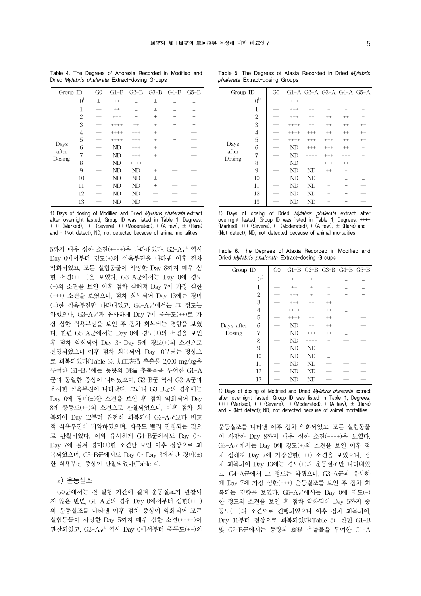| Group ID      |                    | G <sub>0</sub> | $G1-B$  |          | G2-B G3-B G4-B G5-B |       |       |
|---------------|--------------------|----------------|---------|----------|---------------------|-------|-------|
|               | $0^{\overline{1}}$ | $\pm$          | $+ +$   | $\pm$    | 土                   | $\pm$ | 土     |
|               | $\mathbf{1}$       |                | $^{++}$ | 土        | 土                   | $\pm$ | $\pm$ |
|               | $\overline{2}$     |                | $++++$  | 土        | 土                   | $\pm$ | $\pm$ |
|               | 3                  |                | $+++++$ | $++$     | $+$                 | $\pm$ | $\pm$ |
|               | $\overline{4}$     |                | $+++++$ | $+++$    | $+$                 | 土     |       |
|               | 5                  |                | $+++++$ | $^{+++}$ | $+$                 | 土     |       |
| Days<br>after | 6                  |                | ND      | $^{+++}$ | $+$                 | $\pm$ |       |
| Dosing        | 7                  |                | ND      | $^{+++}$ | $+$                 | 土     |       |
|               | 8                  |                | ND      | $+++++$  | $^{++}$             |       |       |
|               | 9                  |                | ND      | ND       | $^{+}$              |       |       |
|               | 10                 |                | ND      | ND       | 土                   |       |       |
|               | 11                 |                | ND      | ND       | 土                   |       |       |
|               | 12                 |                | ND      | ND       |                     |       |       |
|               | 13                 |                | ND      | ND       |                     |       |       |

Table 4. The Degrees of Anorexia Recorded in Modified and Dried Mylabris phalerata Extract-dosing Groups

1) Days of dosing of Modified and Dried Mylabris phalerata extract after overnight fasted; Group ID was listed in Table 1; Degrees: ++++ (Marked), +++ (Severe), ++ (Moderated), + (A few), ± (Rare) and - (Not detect); ND, not detected because of animal mortalities.

5까지 매우 심한 소견(++++)을 나타내었다. G2-A군 역시 Day 0에서부터 경도(+)의 식욕부진을 나타낸 이후 점차 악화되었고, 모든 실험동물이 사망한 Day 8까지 매우 심 한 소견(++++)을 보였다. G3-A군에서는 Day 0에 경도 (+)의 소견을 보인 이후 점차 심해져 Day 7에 가장 심한 (+++) 소견을 보였으나, 점차 회복되어 Day 13에는 경미 (±)한 식욕부진만 나타내었고, G4-A군에서는 그 정도는 약했으나, G3-A군과 유사하게 Day 7에 중등도(++)로 가 장 심한 식욕부진을 보인 후 점차 회복되는 경향을 보였 다. 한편 G5-A군에서는 Day 0에 경도(±)의 소견을 보인 후 점차 악화되어 Day 3~Day 5에 경도(+)의 소견으로 진행되었으나 이후 점차 회복되어, Day 10부터는 정상으 로 회복되었다(Table 3). 加工斑猫 추출물 2,000 mg/kg을 투여한 G1-B군에는 동량의 斑猫 추출물을 투여한 G1-A 군과 동일한 증상이 나타났으며, G2-B군 역시 G2-A군과 유사한 식욕부진이 나타났다. 그러나 G3-B군의 경우에는 Day 0에 경미(±)한 소견을 보인 후 점차 악화되어 Day 8에 중등도(++)의 소견으로 관찰되었으나, 이후 점차 회 복되어 Day 12부터 완전히 회복되어 G3-A군보다 비교 적 식욕부진이 미약하였으며, 회복도 빨리 진행되는 것으 로 관찰되었다. 이와 유사하게 G4-B군에서도 Day 0~ Day 7에 걸쳐 경미(±)한 소견만 보인 이후 정상으로 회 복되었으며, G5-B군에서도 Day 0~Day 3에서만 경미(±) 한 식욕부진 증상이 관찰되었다(Table 4).

#### 2) 운동실조

G0군에서는 전 실험 기간에 걸쳐 운동실조가 관찰되 지 않은 반면, G1-A군의 경우 Day 0에서부터 심한(+++) 의 운동실조를 나타낸 이후 점차 증상이 악화되어 모든 실험동물이 사망한 Day 5까지 매우 심한 소견(++++)이 관찰되었고, G2-A군 역시 Day 0에서부터 중등도(++)의

Table 5. The Degrees of Ataxia Recorded in Dried Mylabris phalerata Extract-dosing Groups

| Group ID      |                    | G <sub>0</sub> |         | G1-A G2-A G3-A G4-A G5-A |         |         |           |
|---------------|--------------------|----------------|---------|--------------------------|---------|---------|-----------|
|               | $0^{\overline{1}}$ |                | $+++$   | $++$                     | $+$     | $^{+}$  | $^{+}$    |
|               | 1                  |                | $+++$   | $^{++}$                  | $+$     | $^{+}$  | $+$       |
|               | $\overline{2}$     |                | $+++$   | $^{++}$                  | $^{++}$ | $++$    | $\ddot{}$ |
|               | 3                  |                | $+++++$ | $++$                     | $^{++}$ | $^{++}$ | $^{++}$   |
|               | 4                  |                | $+++++$ | $++++$                   | $++$    | $^{++}$ | $^{++}$   |
|               | 5                  |                | $+++++$ | $+++$                    | $+++$   | $++$    | $^{++}$   |
| Days<br>after | 6                  |                | ND      | $+++$                    | $+++$   | $++$    | $+$       |
| Dosing        | 7                  |                | ND      | $+++++$                  | $+++$   | $+++$   | $^{+}$    |
|               | 8                  |                | ND      | $++++$                   | $+++$   | $++$    | 土         |
|               | 9                  |                | ND      | ND                       | $^{++}$ | $^{+}$  | 土         |
|               | 10                 |                | ND      | ND                       | $+$     | $\pm$   | $\pm$     |
|               | 11                 |                | ND      | ND                       | $+$     | 土       |           |
|               | 12                 |                | ND      | ND                       | $+$     | $\pm$   |           |
|               | 13                 |                | ND      | ND                       | $+$     | 土       |           |

|  |  | 1) Days of dosing of Dried <i>Mylabris phalerata</i> extract after         |  |
|--|--|----------------------------------------------------------------------------|--|
|  |  | overnight fasted; Group ID was listed in Table 1; Degrees: ++++            |  |
|  |  | (Marked), $++$ (Severe), $++$ (Moderated), $+$ (A few), $\pm$ (Rare) and - |  |
|  |  | (Not detect): ND, not detected because of animal mortalities.              |  |

Table 6. The Degrees of Ataxia Recorded in Modified and Dried Mylabris phalerata Extract-dosing Groups

| $Group$ ID |                               | G <sub>0</sub> |         | $G1-B$ $G2-B$ $G3-B$ $G4-B$ $G5-B$ |         |       |       |
|------------|-------------------------------|----------------|---------|------------------------------------|---------|-------|-------|
|            | $\overline{0}^{\overline{1}}$ |                | $^{++}$ | $+$                                | $+$     | $\pm$ | 土     |
|            | $\mathbf{1}$                  |                | $^{++}$ | $+$                                | $+$     | 土     | $\pm$ |
|            | $\mathbf{2}$                  |                | $++++$  | $+$                                | $^{+}$  | 土     | $\pm$ |
|            | 3                             |                | $+++$   | $^{++}$                            | $++$    | $\pm$ | $\pm$ |
|            | $\overline{4}$                |                | $+++++$ | $^{++}$                            | $^{++}$ | $\pm$ |       |
|            | 5                             |                | $+++++$ | $^{++}$                            | $^{++}$ | 土     |       |
| Days after | 6                             |                | ND      | $^{++}$                            | $^{++}$ | 土     |       |
| Dosing     | 7                             |                | ND      | $++++$                             | $++$    | 土     |       |
|            | 8                             |                | ND      | $++++$                             | $^{+}$  |       |       |
|            | 9                             |                | ND      | ND                                 | $+$     |       |       |
|            | 10                            |                | ND      | ND                                 | $\pm$   |       |       |
|            | 11                            |                | ND      | ND                                 |         |       |       |
|            | 12                            |                | ND      | ND                                 |         |       |       |
|            | 13                            |                | ND      | ND                                 |         |       |       |

1) Days of dosing of Modified and Dried Mylabris phalerata extract after overnight fasted; Group ID was listed in Table 1; Degrees:  $+++$  (Marked),  $++$  (Severe),  $++$  (Moderated),  $+$  (A few),  $\pm$  (Rare) and - (Not detect); ND, not detected because of animal mortalities.

운동실조를 나타낸 이후 점차 악화되었고, 모든 실험동물 이 사망한 Day 8까지 매우 심한 소견(++++)을 보였다. G3-A군에서는 Day 0에 경도(+)의 소견을 보인 이후 점 차 심해져 Day 7에 가장심한(+++) 소견을 보였으나, 점 차 회복되어 Day 13에는 경도(+)의 운동실조만 나타내었 고, G4-A군에서 그 정도는 약했으나, G3-A군과 유사하 게 Day 7에 가장 심한(+++) 운동실조를 보인 후 점차 회 복되는 경향을 보였다. G5-A군에서는 Day 0에 경도(+) 한 정도의 소견을 보인 후 점차 악화되어 Day 5까지 중 등도(++)의 소견으로 진행되었으나 이후 점차 회복되어, Day 11부터 정상으로 회복되었다(Table 5). 한편 G1-B 및 G2-B군에서는 동량의 斑猫 추출물을 투여한 G1-A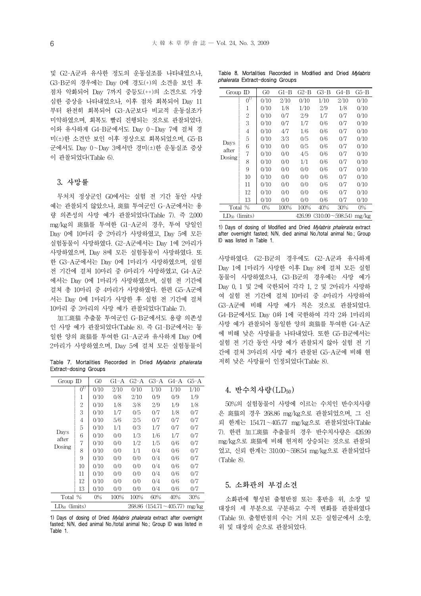및 G2-A군과 유사한 정도의 운동실조를 나타내었으나, G3-B군의 경우에는 Day 0에 경도(+)의 소견을 보인 후 점차 악화되어 Day 7까지 중등도(++)의 소견으로 가장 심한 증상을 나타내었으나, 이후 점차 회복되어 Day 11 부터 완전히 회복되어 G3-A군보다 비교적 운동실조가 미약하였으며, 회복도 빨리 진행되는 것으로 관찰되었다. 이와 유사하게 G4-B군에서도 Day 0~Day 7에 걸쳐 경 미(±)한 소견만 보인 이후 정상으로 회복되었으며, G5-B 군에서도 Day 0~Day 3에서만 경미(±)한 운동실조 증상 이 관찰되었다(Table 6).

## 3. 사망률

무처치 정상군인 G0에서는 실험 전 기간 동안 사망 예는 관찰되지 않았으나, 斑猫 투여군인 G-A군에서는 용 량 의존성의 사망 예가 관찰되었다(Table 7). 즉 2,000 mg/kg의 斑猫를 투여한 G1-A군의 경우, 투여 당일인 Day 0에 10마리 중 2마리가 사망하였고, Day 5에 모든 실험동물이 사망하였다. G2-A군에서는 Day 1에 2마리가 사망하였으며, Day 8에 모든 실험동물이 사망하였다. 또 한 G3-A군에서는 Day 0에 1마리가 사망하였으며, 실험 전 기간에 걸쳐 10마리 중 6마리가 사망하였고, G4-A군 에서는 Day 0에 1마리가 사망하였으며, 실험 전 기간에 걸쳐 총 10마리 중 4마리가 사망하였다. 한편 G5-A군에 서는 Day 0에 1마리가 사망한 후 실험 전 기간에 걸쳐 10마리 중 3마리의 사망 예가 관찰되었다(Table 7).

加工斑猫 추출물 투여군인 G-B군에서도 용량 의존성 인 사망 예가 관찰되었다(Table 8). 즉 G1-B군에서는 동 일한 양의 斑猫를 투여한 G1-A군과 유사하게 Day 0에 2마리가 사망하였으며, Day 5에 걸쳐 모든 실험동물이

Table 7. Mortalities Recorded in Dried Mylabris phalerata Extract-dosing Groups

| Group ID           |                              | G <sub>0</sub> | G1-A | $G2-A$ | G3-A                   | G4-A | G5-A  |
|--------------------|------------------------------|----------------|------|--------|------------------------|------|-------|
|                    | $0^{\overline 1\overline 0}$ | 0/10           | 2/10 | 0/10   | 1/10                   | 1/10 | 1/10  |
|                    | 1                            | 0/10           | 0/8  | 2/10   | 0/9                    | 0/9  | 1/9   |
|                    | 2                            | 0/10           | 1/8  | 3/8    | 2/9                    | 1/9  | 1/8   |
|                    | 3                            | 0/10           | 1/7  | 0/5    | 0/7                    | 1/8  | 0/7   |
|                    | 4                            | 0/10           | 5/6  | 2/5    | 0/7                    | 0/7  | 0/7   |
|                    | 5                            | 0/10           | 1/1  | 0/3    | 1/7                    | 0/7  | 0/7   |
| Days<br>after      | 6                            | 0/10           | 0/0  | 1/3    | 1/6                    | 1/7  | 0/7   |
|                    | 7                            | 0/10           | 0/0  | 1/2    | 1/5                    | 0/6  | 0/7   |
| Dosing             | 8                            | 0/10           | 0/0  | 1/1    | 0/4                    | 0/6  | 0/7   |
|                    | 9                            | 0/10           | 0/0  | 0/0    | 0/4                    | 0/6  | 0/7   |
|                    | 10                           | 0/10           | 0/0  | 0/0    | 0/4                    | 0/6  | 0/7   |
|                    | 11                           | 0/10           | 0/0  | 0/0    | 0/4                    | 0/6  | 0/7   |
|                    | 12                           | 0/10           | 0/0  | 0/0    | 0/4                    | 0/6  | 0/7   |
|                    | 13                           | 0/10           | 0/0  | 0/0    | 0/4                    | 0/6  | 0/7   |
| Total %            |                              | 0%             | 100% | 100%   | 60%                    | 40%  | 30%   |
| $LD_{50}$ (limits) |                              |                |      |        | 268.86 (154.71~405.77) |      | mg/kg |

1) Days of dosing of Dried *Mylabris phalerata* extract after overnight fasted; N/N, died animal No./total animal No.; Group ID was listed in Table 1.

Table 8. Mortalities Recorded in Modified and Dried Mylabris phalerata Extract-dosing Groups

| Group ID           |               | G0   | G1-B | G2-B   | $G3-B$ | G4-B                | G5-B  |
|--------------------|---------------|------|------|--------|--------|---------------------|-------|
|                    | $0^{1)}$      | 0/10 | 2/10 | 0/10   | 1/10   | 2/10                | 0/10  |
|                    | 1             | 0/10 | 1/8  | 1/10   | 2/9    | 1/8                 | 0/10  |
|                    | 2             | 0/10 | 0/7  | 2/9    | 1/7    | 0/7                 | 0/10  |
|                    | 3             | 0/10 | 0/7  | 1/7    | 0/6    | 0/7                 | 0/10  |
|                    | 4             | 0/10 | 4/7  | 1/6    | 0/6    | 0/7                 | 0/10  |
|                    | 5             | 0/10 | 3/3  | 0/5    | 0/6    | 0/7                 | 0/10  |
| Days<br>after      | 6             | 0/10 | 0/0  | 0/5    | 0/6    | 0/7                 | 0/10  |
| Dosing             | 7             | 0/10 | 0/0  | 4/5    | 0/6    | 0/7                 | 0/10  |
|                    | 8             | 0/10 | 0/0  | 1/1    | 0/6    | 0/7                 | 0/10  |
|                    | 9             | 0/10 | 0/0  | 0/0    | 0/6    | 0/7                 | 0/10  |
|                    | 10            | 0/10 | 0/0  | 0/0    | 0/6    | 0/7                 | 0/10  |
|                    | 11            | 0/10 | 0/0  | 0/0    | 0/6    | 0/7                 | 0/10  |
|                    | 12            | 0/10 | 0/0  | 0/0    | 0/6    | 0/7                 | 0/10  |
|                    | 13            | 0/10 | 0/0  | 0/0    | 0/6    | 0/7                 | 0/10  |
| Total              | $\frac{0}{6}$ | 0%   | 100% | 100%   | 40%    | 30%                 | $0\%$ |
| $LD_{50}$ (limits) |               |      |      | 426.99 |        | $(310.00 - 598.54)$ | mg/kg |

1) Days of dosing of Modified and Dried Mylabris phalerata extract after overnight fasted; N/N, died animal No./total animal No.; Group ID was listed in Table 1.

사망하였다. G2-B군의 경우에도 G2-A군과 유사하게 Day 1에 1마리가 사망한 이후 Day 8에 걸쳐 모든 실험 동물이 사망하였으나, G3-B군의 경우에는 사망 예가 Day 0, 1 및 2에 국한되어 각각 1, 2 및 2마리가 사망하 여 실험 전 기간에 걸쳐 10마리 중 4마리가 사망하여 G3-A군에 비해 사망 예가 적은 것으로 관찰되었다. G4-B군에서도 Day 0와 1에 국한하여 각각 2와 1마리의 사망 예가 관찰되어 동일한 양의 斑猫를 투여한 G4-A군 에 비해 낮은 사망률을 나타내었다. 또한 G5-B군에서는 실험 전 기간 동안 사망 예가 관찰되지 않아 실험 전 기 간에 걸쳐 3마리의 사망 예가 관찰된 G5-A군에 비해 현 저히 낮은 사망률이 인정되었다(Table 8).

#### 4. 반수치사량(LD<sub>50</sub>)

50%의 실험동물이 사망에 이르는 수치인 반수치사량 은 斑猫의 경우 268.86 mg/kg으로 관찰되었으며, 그 신 뢰 한계는 154.71~405.77 mg/kg으로 관찰되었다(Table 7). 한편 加工斑猫 추출물의 경우 반수치사량은 426.99 mg/kg으로 斑猫에 비해 현저히 상승되는 것으로 관찰되 었고, 신뢰 한계는 310.00~598.54 mg/kg으로 관찰되었다 (Table 8).

#### 5. 소화관의 부검소견

소화관에 형성된 출혈반점 또는 홍반을 위, 소장 및 대장의 세 부분으로 구분하고 수적 변화를 관찰하였다 (Table 9). 출혈반점의 수는 거의 모든 실험군에서 소장, 위 및 대장의 순으로 관찰되었다.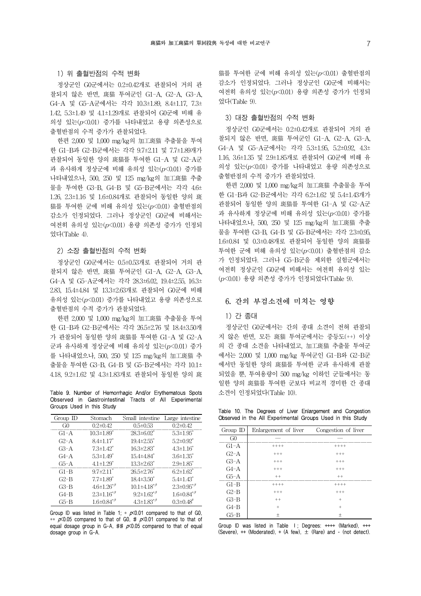## 1) 위 출혈반점의 수적 변화

정상군인 G0군에서는 0.2±0.42개로 관찰되어 거의 관 찰되지 않은 반면, 斑猫 투여군인 G1-A, G2-A, G3-A, G4-A 및 G5-A군에서는 각각 10.3±1.89, 8.4±1.17, 7.3± 1.42, 5.3±1.49 및 4.1±1.29개로 관찰되어 G0군에 비해 유 의성 있는(p<0.01) 증가를 나타내었고 용량 의존성으로 출혈반점의 수적 증가가 관찰되었다.

한편 2,000 및 1,000 mg/kg의 加工斑猫 추출물을 투여 한 G1-B과 G2-B군에서는 각각 9.7±2.11 및 7.7±1.89개가 관찰되어 동일한 양의 斑猫를 투여한 G1-A 및 G2-A군 과 유사하게 정상군에 비해 유의성 있는 $(p<0.01)$  증가를 나타내었으나, 500, 250 및 125 mg/kg의 加工斑猫 추출 물을 투여한 G3-B, G4-B 및 G5-B군에서는 각각 4.6± 1.26, 2.3±1.16 및 1.6±0.84개로 관찰되어 동일한 양의 斑 猫를 투여한 군에 비해 유의성 있는(p<0.01) 출혈반점의 감소가 인정되었다. 그러나 정상군인 G0군에 비해서는 여전히 유의성 있는(p<0.01) 용량 의존성 증가가 인정되 었다(Table 4).

### 2) 소장 출혈반점의 수적 변화

정상군인 G0군에서는 0.5±0.53개로 관찰되어 거의 관 찰되지 않은 반면, 斑猫 투여군인 G1-A, G2-A, G3-A, G4-A 및 G5-A군에서는 각각 28.3±6.02, 19.4±2.55, 16.3± 2.83, 15.4±4.84 및 13.3±2.63개로 관찰되어 G0군에 비해 유의성 있는(p<0.01) 증가를 나타내었고 용량 의존성으로 출혈반점의 수적 증가가 관찰되었다.

한편 2,000 및 1,000 mg/kg의 加工斑猫 추출물을 투여 한 G1-B과 G2-B군에서는 각각 26.5±2.76 및 18.4±3.50개 가 관찰되어 동일한 양의 斑猫를 투여한 G1-A 및 G2-A 군과 유사하게 정상군에 비해 유의성 있는(p<0.01) 증가 를 나타내었으나, 500, 250 및 125 mg/kg의 加工斑猫 추 출물을 투여한 G3-B, G4-B 및 G5-B군에서는 각각 10.1± 4.18, 9.2±1.62 및 4.3±1.83개로 관찰되어 동일한 양의 斑

Table 9. Number of Hemorrhagic And/or Erythematous Spots Observed in Gastrointestinal Tracts of All Experimental Groups Used in this Study

| Group $ID$ | Stomach                       | Small intestine Large intestine |                             |
|------------|-------------------------------|---------------------------------|-----------------------------|
| G()        | $0.2 \pm 0.42$                | $0.5 \pm 0.53$                  | $0.2 \pm 0.42$              |
| G1-A       | $10.3 \pm 1.89$ <sup>*</sup>  | $28.3 \pm 6.02^*$               | $5.3 \pm 1.95$              |
| $G2-A$     | $8.4 \pm 1.17$                | $19.4 \pm 2.55$                 | $5.2 \pm 0.92$ <sup>*</sup> |
| $G3-A$     | $7.3 \pm 1.42$ <sup>*</sup>   | $16.3 \pm 2.83$ <sup>*</sup>    | $4.3 \pm 1.16^*$            |
| $G4-A$     | $5.3 \pm 1.49$ <sup>*</sup>   | $15.4 \pm 4.84$ <sup>*</sup>    | $3.6 \pm 1.35^*$            |
| $G5-A$     | $4.1 \pm 1.29$ <sup>*</sup>   | $13.3 \pm 2.63^*$               | $2.9 \pm 1.85$              |
| $G1-B$     | $9.7 \pm 2.11$ <sup>*</sup>   | $26.5 \pm 2.76^*$               | $6.2 \pm 1.62$ <sup>*</sup> |
| $G2-B$     | $7.7 \pm 1.89$ <sup>*</sup>   | $18.4 \pm 3.50^*$               | $5.4 \pm 1.43$ <sup>*</sup> |
| $G3-B$     | $4.6 \pm 1.26$ <sup>*,#</sup> | $10.1 \pm 4.18$ *,#             | $2.3 \pm 0.95$ *,#          |
| G4-B       | $2.3 \pm 1.16$ *,#            | $9.2 \pm 1.62$ **               | $1.6 \pm 0.84$ *,#          |
| G5-B       | $1.6 \pm 0.84^{*,*}$          | $4.3 \pm 1.83$ <sup>*,#</sup>   | $0.3 \pm 0.48$ <sup>#</sup> |

Group ID was listed in Table 1;  $*$   $p \times 0.01$  compared to that of G0, \*\*  $p \times 0.05$  compared to that of G0, #  $p \times 0.01$  compared to that of equal dosage group in G-A, ##  $p \times 0.05$  compared to that of equal dosage group in G-A.

猫를 투여한 군에 비해 유의성 있는(p<0.01) 출혈반점의 감소가 인정되었다. 그러나 정상군인 G0군에 비해서는 여전히 유의성 있는(p<0.01) 용량 의존성 증가가 인정되 었다(Table 9).

### 3) 대장 출혈반점의 수적 변화

정상군인 G0군에서는 0.2±0.42개로 관찰되어 거의 관 찰되지 않은 반면, 斑猫 투여군인 G1-A, G2-A, G3-A, G4-A 및 G5-A군에서는 각각 5.3±1.95, 5.2±0.92, 4.3± 1.16, 3.6±1.35 및 2.9±1.85개로 관찰되어 G0군에 비해 유 의성 있는(p<0.01) 증가를 나타내었고 용량 의존성으로 출혈반점의 수적 증가가 관찰되었다.

한편 2,000 및 1,000 mg/kg의 加工斑猫 추출물을 투여 한 G1-B과 G2-B군에서는 각각 6.2±1.62 및 5.4±1.43개가 관찰되어 동일한 양의 斑猫를 투여한 G1-A 및 G2-A군 과 유사하게 정상군에 비해 유의성 있는 $(p< 0.01)$  증가를 나타내었으나, 500, 250 및 125 mg/kg의 加工斑猫 추출 물을 투여한 G3-B, G4-B 및 G5-B군에서는 각각 2.3±0.95, 1.6±0.84 및 0.3±0.48개로 관찰되어 동일한 양의 斑猫를 투여한 군에 비해 유의성 있는 $(p<0.01)$  출혈반점의 감소 가 인정되었다. 그러나 G5-B군을 제외한 실험군에서는 여전히 정상군인 G0군에 비해서는 여전히 유의성 있는 (p<0.01) 용량 의존성 증가가 인정되었다(Table 9).

## 6. 간의 부검소견에 미치는 영향

## 1) 간 종대

정상군인 G0군에서는 간의 종대 소견이 전혀 관찰되 지 않은 반면, 모든 斑猫 투여군에서는 중등도(++) 이상 의 간 종대 소견을 나타내었고, 加工斑猫 추출물 투여군 에서는 2,000 및 1,000 mg/kg 투여군인 G1-B와 G2-B군 에서만 동일한 양의 斑猫를 투여한 군과 유사하게 관찰 되었을 뿐, 투여용량이 500 mg/kg 이하인 군들에서는 동 일한 양의 斑猫를 투여한 군보다 비교적 경미한 간 종대 소견이 인정되었다(Table 10).

Table 10. The Degrees of Liver Enlargement and Congestion Observed in the All Experimental Groups Used in this Study

| Group $ID$ | Enlargement of liver | Congestion of liver |
|------------|----------------------|---------------------|
| G0         |                      |                     |
| $G1-A$     | $+++++$              | $+++++$             |
| $G2-A$     | $+++$                | $+++$               |
| $G3-A$     | $+++$                | $+++$               |
| $G4-A$     | $+++$                | $+++$               |
| $G5-A$     | $++$                 | $++$                |
| $G1-B$     | $+++++$              | $+++++$             |
| $G2-B$     | $+++$                | $+++$               |
| $G3-B$     | $++$                 | $+$                 |
| $G4-B$     | $^{+}$               | $\overline{+}$      |
| G5-B       | $^+$                 | $^+$                |

Group ID was listed in Table Ⅰ; Degrees: ++++ (Marked), +++ (Severe),  $++$  (Moderated),  $+$  (A few),  $\pm$  (Rare) and - (not detect).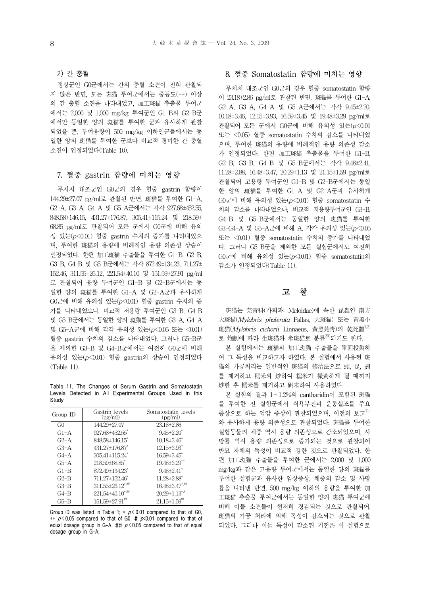2) 간 충혈

정상군인 G0군에서는 간의 충혈 소견이 전혀 관찰되 지 않은 반면, 모든 斑猫 투여군에서는 중등도(++) 이상 의 간 충혈 소견을 나타내었고, 加工斑猫 추출물 투여군 에서는 2,000 및 1,000 mg/kg 투여군인 G1-B와 G2-B군 에서만 동일한 양의 斑猫를 투여한 군과 유사하게 관찰 되었을 뿐, 투여용량이 500 mg/kg 이하인군들에서는 동 일한 양의 斑猫를 투여한 군보다 비교적 경미한 간 충혈 소견이 인정되었다(Table 10).

### 7. 혈중 gastrin 함량에 미치는 영향

무처치 대조군인 G0군의 경우 혈중 gastrin 함량이 144.29±27.07 pg/ml로 관찰된 반면, 斑猫를 투여한 G1-A, G2-A, G3-A, G4-A 및 G5-A군에서는 각각 927.68±452.55, 848.58±146.15, 431.27±176.87, 305.41±115.24 및 218.59± 68.85 pg/ml로 관찰되어 모든 군에서 G0군에 비해 유의 성 있는(p<0.01) 혈중 gastrin 수치의 증가를 나타내었으 며, 투여한 斑猫의 용량에 비례적인 용량 의존성 상승이 인정되었다. 한편 加工斑猫 추출물을 투여한 G1-B, G2-B, G3-B, G4-B 및 G5-B군에서는 각각 872.49±134.23, 711.27± 152.46, 311.55±26.12, 221.54±40.10 및 151.59±27.91 pg/ml 로 관찰되어 용량 투여군인 G1-B 및 G2-B군에서는 동 일한 양의 斑猫를 투여한 G1-A 및 G2-A군과 유사하게  $G$ <sub>(</sub>) 비해 유의성 있는 $(p< 0.01)$  혈중 gastrin 수치의 증 가를 나타내었으나, 비교적 저용량 투여군인 G3-B, G4-B 및 G5-B군에서는 동일한 양의 斑猫를 투여한 G3-A, G4-A 및 G5-A군에 비해 각각 유의성 있는(p<0.05 또는 <0.01) 혈중 gastrin 수치의 감소를 나타내었다. 그러나 G5-B군 을 제외한 G3-B 및 G4-B군에서는 여전히 G0군에 비해 유의성 있는(p<0.01) 혈중 gastrin의 상승이 인정되었다 (Table 11).

Table 11. The Changes of Serum Gastrin and Somatostatin Levels Detected in All Experimental Groups Used in this **Study** 

| Group ID | Gastrin levels<br>$\left(\text{pg/ml}\right)$ | Somatostatin levels<br>(pg/ml)  |
|----------|-----------------------------------------------|---------------------------------|
| G0       | 144.29±27.07                                  | $23.18 \pm 2.86$                |
| $G1-A$   | $927.68 \pm 452.55$                           | $9.45 \pm 2.20^*$               |
| $G2-A$   | 848.58±146.15                                 | $10.18 \pm 3.46^*$              |
| $G3-A$   | $431.27 \pm 176.87$ <sup>*</sup>              | $12.15 \pm 3.93$ <sup>*</sup>   |
| $G4-A$   | $305.41 \pm 115.24$ <sup>*</sup>              | $16.59 \pm 3.45$                |
| $G5-A$   | 218.59±68.85*                                 | 19.48±3.29**                    |
| $G1-B$   | 872.49±134.23 <sup>*</sup>                    | $9.48 \pm 2.41$                 |
| $G2-B$   | 711.27±152.46*                                | $11.28 \pm 2.88$ <sup>*</sup>   |
| $G3-B$   | $311.55 \pm 26.12$ <sup>*,##</sup>            | $16.48 \pm 3.47$ */*            |
| $G4-B$   | $221.54 \pm 40.10$ <sup>*,##</sup>            | $20.29 \pm 1.13$ <sup>*,#</sup> |
| G5-B     | $151.59 \pm 27.91$ <sup>***</sup>             | $21.15 \pm 1.59$ <sup>##</sup>  |

Group ID was listed in Table 1;  $*$   $p < 0.01$  compared to that of G0, \*\*  $p < 0.05$  compared to that of G0, #  $p < 0.01$  compared to that of equal dosage group in G-A, ##  $p < 0.05$  compared to that of equal dosage group in G-A.

## 8. 혈중 Somatostatin 함량에 미치는 영향

무처치 대조군인 G0군의 경우 혈중 somatostatin 함량 이 23.18±2.86 pg/ml로 관찰된 반면, 斑猫를 투여한 G1-A, G2-A, G3-A, G4-A 및 G5-A군에서는 각각 9.45±2.20, 10.18±3.46, 12.15±3.93, 16.59±3.45 및 19.48±3.29 pg/ml로 관찰되어 모든 군에서 GO군에 비해 유의성 있는 $(p<0.01$ 또는 <0.05) 혈중 somatostatin 수치의 감소를 나타내었 으며, 투여한 斑猫의 용량에 비례적인 용량 의존성 감소 가 인정되었다. 한편 加工斑猫 추출물을 투여한 G1-B, G2-B, G3-B, G4-B 및 G5-B군에서는 각각 9.48±2.41, 11.28±2.88, 16.48±3.47, 20.29±1.13 및 21.15±1.59 pg/ml로 관찰되어 고용량 투여군인 G1-B 및 G2-B군에서는 동일 한 양의 斑猫를 투여한 G1-A 및 G2-A군과 유사하게 G0군에 비해 유의성 있는(p<0.01) 혈중 somatostatin 수 치의 감소를 나타내었으나, 비교적 저용량투여군인 G3-B, G4-B 및 G5-B군에서는 동일한 양의 斑猫를 투여한 G3-G4-A 및 G5-A군에 비해 A, 각각 유의성 있는(p<0.05 또는 <0.01) 혈중 somatostatin 수치의 증가를 나타내었 다. 그러나 G5-B군을 제외한 모든 실험군에서도 여전히  $G$  $\partial \vec{\tau}$ 에 비해 유의성 있는 $(p< 0.01)$  혈중 somatostatin의 감소가 인정되었다(Table 11).

## 고 찰

斑猫는 芫靑科(가뢰과; Meloidae)에 속한 昆蟲인 南方 大斑猫(Mylabris phalerata Pallas, 大斑猫) 또는 黃黑小 斑猫(Mylabris cichorii Linnaeus, 黃黑芫青)의 乾死體<sup>1,2)</sup> 로 炮制에 따라 生斑猫와 米斑猫로 분류<sup>20)</sup>되기도 한다.

본 실험에서는 斑猫와 加工斑猫 추출물을 單回投與하 여 그 독성을 비교하고자 하였다. 본 실험에서 사용된 斑 猫의 가공처리는 일반적인 斑猫의 修治法으로 頭, 足, 翅 를 제거하고 糯米와 炒하여 糯米가 微黃하게 될 때까지 炒한 후 糯米를 제거하고 硏末하여 사용하였다.

본 실험의 결과 1~1.2%의 cantharidin이 포함된 斑猫 를 투여한 전 실험군에서 식욕부진과 운동실조를 주요 증상으로 하는 억압 증상이 관찰되었으며, 이전의 보고11) 와 유사하게 용량 의존성으로 관찰되었다. 斑猫를 투여한 실험동물의 체중 역시 용량 의존성으로 감소되었으며, 사 망률 역시 용량 의존성으로 증가되는 것으로 관찰되어 반묘 자체의 독성이 비교적 강한 것으로 관찰되었다. 한 편 加工斑猫 추출물을 투여한 군에서는 2,000 및 1,000 mg/kg과 같은 고용량 투여군에서는 동일한 양의 斑猫를 투여한 실험군과 유사한 임상증상, 체중의 감소 및 사망 률을 나타낸 반면, 500 mg/kg 이하의 용량을 투여한 加 工斑猫 추출물 투여군에서는 동일한 양의 斑猫 투여군에 비해 이들 소견들이 현저히 경감되는 것으로 관찰되어, 斑猫의 가공 처리에 의해 독성이 감소되는 것으로 관찰 되었다. 그러나 이들 독성이 감소된 기전은 이 실험으로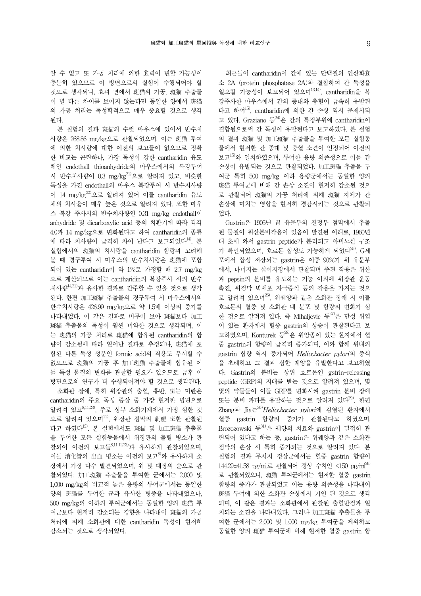알 수 없고 또 가공 처리에 의한 효력이 변할 가능성이 충분히 있으므로 이 방면으로의 실험이 수행되어야 할 것으로 생각되나, 효과 면에서 斑猫와 가공, 斑猫 추출물 이 별 다른 차이를 보이지 않는다면 동일한 양에서 斑猫 의 가공 처리는 독성학적으로 매우 중요할 것으로 생각 된다.

본 실험의 결과 斑猫의 수컷 마우스에 있어서 반수치 사량은 268.86 mg/kg으로 관찰되었으며, 이는 斑猫 투여 에 의한 치사량에 대한 이전의 보고들이 없으므로 정확 한 비교는 곤란하나, 가장 독성이 강한 cantharidin 유도 체인 endothall thioanhydride의 마우스에서의 복강투여 시 반수치사량이 0.3 mg/kg<sup>21)</sup>으로 알려져 있고, 비슷한 독성을 가진 endothall의 마우스 복강투여 시 반수치사량 이 14 mg/kg22)으로 알려져 있어 이들 cantharidin 유도 체의 치사율이 매우 높은 것으로 알려져 있다. 또한 마우 스 복강 주사시의 반수치사량인 0.31 mg/kg endothall이 anhydride 및 dicarboxylic acid 등의 치환기에 따라 각각 4.0과 14 mg/kg으로 변화된다고 하여 cantharidin의 종류 에 따라 치사량이 급격히 차이 난다고 보고되었다<sup>14</sup>. 본 실험에서의 斑猫의 치사량을 cantharidin 함량과 고려해 볼 때 경구투여 시 마우스의 반수치사량은 斑猫에 포함 되어 있는 cantharidin이 약 1%로 가정할 때 2.7 mg/kg 으로 계산되므로 이는 cantharidin의 복강주사 시의 반수 치사량14,21)과 유사한 결과로 간주할 수 있을 것으로 생각 된다. 한편 加工斑猫 추출물의 경구투여 시 마우스에서의 반수치사량은 426.99 mg/kg으로 약 1.5배 이상의 증가를 나타내었다. 이 같은 결과로 미루어 보아 斑猫보다 加工 斑猫 추출물의 독성이 훨씬 미약한 것으로 생각되며, 이 는 斑猫의 가공 처리로 斑猫에 함유된 cantharidin의 함 량이 감소됨에 따라 일어난 결과로 추정되나, 斑猫에 포 함된 다른 독성 성분인 formic acid의 작용도 무시할 수 없으므로 斑猫의 가공 후 加工斑猫 추출물에 함유된 이 들 독성 물질의 변화를 관찰할 필요가 있으므로 금후 이 방면으로의 연구가 더 수행되어져야 할 것으로 생각된다. 소화관 장애, 특히 위장관의 출혈, 홍반, 또는 미란은 cantharidin의 주요 독성 증상 중 가장 현저한 병변으로 알려져 있고8,11,23), 주로 상부 소화기계에서 가장 심한 것 으로 알려져 있으며11), 위장관 점막의 剝離 또한 관찰된 다고 하였다12). 본 실험에서도 斑猫 및 加工斑猫 추출물 을 투여한 모든 실험동물에서 위장관의 출혈 병소가 관 찰되어 이전의 보고들8,11,12,23)과 유사하게 관찰되었으며, 이들 消化管의 出血 병소는 이전의 보고<sup>8)</sup>와 유사하게 소 장에서 가장 다수 발견되었으며, 위 및 대장의 순으로 관 찰되었다. 加工斑猫 추출물을 투여한 군에서는 2,000 및 1,000 mg/kg의 비교적 높은 용량의 투여군에서는 동일한 양의 斑猫를 투여한 군과 유사한 병증을 나타내었으나, 500 mg/kg의 이하의 투여군에서는 동일한 양의 斑猫 투 여군보다 현저히 감소되는 경향을 나타내어 斑猫의 가공 처리에 의해 소화관에 대한 cantharidin 독성이 현저히 감소되는 것으로 생각되었다.

최근들어 cantharidin이 간에 있는 단백질의 인산화효 소 2A (protein phosphatase 2A)와 결합하여 간 독성을 일으킬 가능성이 보고되어 있으며13,14), cantharidin을 복 강주사한 마우스에서 간의 종대와 충혈이 급속히 유발된 다고 하여<sup>15)</sup>, cantharidin에 의한 간 손상 역시 문제시되 고 있다. Graziano 등24)은 간의 특정부위에 cantharidin이 결합됨으로써 간 독성이 유발된다고 보고하였다. 본 실험 의 결과 斑猫 및 加工斑猫 추출물을 투여한 모든 실험동 물에서 현저한 간 종대 및 충혈 소견이 인정되어 이전의 보고15)와 일치하였으며, 투여한 용량 의존성으로 이들 간 손상이 유발되는 것으로 관찰되었다. 加工斑猫 추출물 투 여군 특히 500 mg/kg 이하 용량군에서는 동일한 양의 斑猫 투여군에 비해 간 손상 소견이 현저히 감소된 것으 로 관찰되어 斑猫의 가공 처리에 의해 斑猫 자체가 간 손상에 미치는 영향을 현저히 경감시키는 것으로 관찰되 었다.

Gastrin은 1905년 胃 유문부의 전정부 점막에서 추출 된 물질이 위산분비작용이 있음이 발견된 이래로, 1960년 대 초에 와서 gastrin peptide가 분리되고 아미노산 구조 가 확인되었으며, 호르몬 합성도 가능하게 되었다<sup>25)</sup>. G세 포에서 합성 저장되는 gastrin은 이중 90%가 위 유문부 에서, 나머지는 십이지장에서 관찰되며 주된 작용은 위산 과 pepsin의 분비를 유도하는 기능 이외에 위장관 운동 촉진, 위점막 벽세포 자극증식 등의 작용을 가지는 것으 로 알려져 있으며 $^{26)}$ , 위궤양과 같은 소화관 장애 시 이들 호르몬의 혈중 및 소화관 내 분포 및 함량의 변화가 심 한 것으로 알려져 있다. 즉 Mihaljevic 등 $^{27}$ 은 만성 위염 이 있는 환자에서 혈중 gastrin의 상승이 관찰된다고 보 고하였으며, Konturek 등 $^{28}$ 은 위암종이 있는 환자에서 혈 중 gastrin의 함량이 급격히 증가되며, 이와 함께 위내의 gastrin 함량 역시 증가되어 Helicobacter pylori의 증식 을 초래하고 그 결과 심한 궤양을 유발한다고 보고하였 다. Gastrin의 분비는 상위 호르몬인 gstrin-releasing peptide (GRP)의 지배를 받는 것으로 알려져 있으며, 몇 몇의 약물들이 이들 GRP를 변화시켜 gastrin 분비 장애 또는 분비 과다를 유발하는 것으로 알려져 있다<sup>29)</sup>. 한편 Zhang과 Jia는30)Helicobacter pylori에 감염된 환자에서 혈중 gastrin 함량의 증가가 관찰된다고 하였으며, Brozozowski 등31)은 궤양의 치료와 gastrin이 밀접히 관 련되어 있다고 하는 등, gastrin은 위궤양과 같은 소화관 점막의 손상 시 특히 증가되는 것으로 알려져 있다. 본 실험의 결과 무처치 정상군에서는 혈중 gastrin 함량이 144.29±41.58 pg/ml로 관찰되어 정상 수치인 <150 pg/ml<sup>26)</sup> 로 관찰되었으나, 斑猫 투여군에서는 현저한 혈중 gastrin 함량의 증가가 관찰되었고 이는 용량 의존성을 나타내어 斑猫 투여에 의한 소화관 손상에서 기인 된 것으로 생각 되며, 이 같은 결과는 소화관에서 관찰된 출혈반점과 일 치되는 소견을 나타내었다. 그러나 加工斑猫 추출물을 투 여한 군에서는 2,000 및 1,000 mg/kg 투여군을 제외하고 동일한 양의 斑猫 투여군에 비해 현저한 혈중 gastrin 함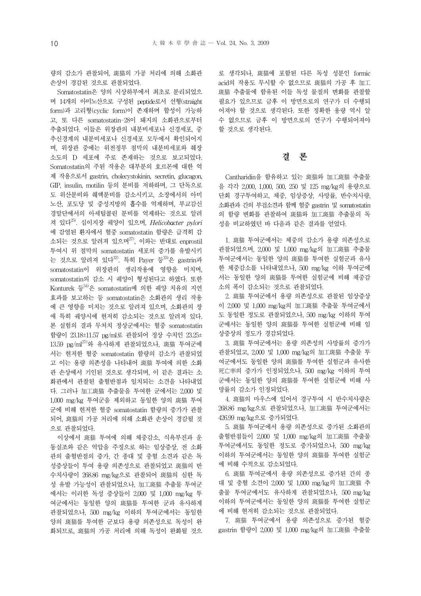량의 감소가 관찰되어, 斑猫의 가공 처리에 의해 소화관 손상이 경감된 것으로 관찰되었다.

Somatostatin은 양의 시상하부에서 최초로 분리되었으 며 14개의 아미노산으로 구성된 peptide로서 선형(straight form)과 고리형(cyclic form)이 존재하며 합성이 가능하 고, 또 다른 somatostatin-28이 돼지의 소화관으로부터 추출되었다. 이들은 위장관의 내분비세포나 신경세포, 중 추신경계의 내분비세포나 신경세포 모두에서 확인되어지 며, 위장관 중에는 위전정부 점막의 내분비세포와 췌장 소도의 D 세포에 주로 존재하는 것으로 보고되었다. Somatostatin의 주된 작용은 대부분의 호르몬에 대한 억 제 작용으로서 gastrin, cholecystokinin, secretin, glucagon, GIP, insulin, motilin 등의 분비를 저하하며, 그 단독으로 도 위산분비와 췌액분비를 감소시키고, 소장에서의 아미 노산, 포도당 및 중성지방의 흡수를 억제하며, 부교감신 경말단에서의 아세틸콜린 분비를 억제하는 것으로 알려 져 있다<sup>25)</sup>. 십이지장 궤양이 있으며, Helicobacter pylori 에 감염된 환자에서 혈중 somatostatin 함량은 급격히 감 소되는 것으로 알려져 있으며 $^{27}$ , 이와는 반대로 enprostil 투여시 위 점막의 somatostatin 세포의 증가를 유발시키 는 것으로 알려져 있다<sup>32)</sup>. 특히 Payer 등 <sup>33)</sup>은 gastrin과 somatostatin이 위장관의 생리작용에 영향을 미치며, somatostatin의 감소 시 궤양이 형성된다고 하였다. 또한 Konturek 등34)은 somatostatin에 의한 궤양 치유의 지연 효과를 보고하는 등 somatostatin은 소화관의 생리 작용 에 큰 영향을 미치는 것으로 알려져 있으며, 소화관의 장 애 특히 궤양시에 현저히 감소되는 것으로 알려져 있다. 본 실험의 결과 무처치 정상군에서는 혈중 somatostatin 함량이 23.18±11.57 pg/ml로 관찰되어 정상 수치인 23.25± 13.59 pg/ml<sup>27)</sup>와 유사하게 관찰되었으나, 斑猫 투여군에 서는 현저한 혈중 somatostatin 함량의 감소가 관찰되었 고 이는 용량 의존성을 나타내어 斑猫 투여에 의한 소화 관 손상에서 기인된 것으로 생각되며, 이 같은 결과는 소 화관에서 관찰된 출혈반점과 일치되는 소견을 나타내었 다. 그러나 加工斑猫 추출물을 투여한 군에서는 2,000 및 1,000 mg/kg 투여군을 제외하고 동일한 양의 斑猫 투여 군에 비해 현저한 혈중 somatostatin 함량의 증가가 관찰 되어, 斑猫의 가공 처리에 의해 소화관 손상이 경감될 것 으로 관찰되었다.

이상에서 斑猫 투여에 의해 체중감소, 식욕부진과 운 동실조와 같은 억압을 주징으로 하는 임상증상, 전 소화 관의 출혈반점의 증가, 간 종대 및 충혈 소견과 같은 독 성증상들이 투여 용량 의존성으로 관찰되었고 斑猫의 반 수치사량이 268.86 mg/kg으로 관찰되어 斑猫의 심한 독 성 유발 가능성이 관찰되었으나, 加工斑猫 추출물 투여군 에서는 이러한 독성 증상들이 2,000 및 1,000 mg/kg 투 여군에서는 동일한 양의 斑猫를 투여한 군과 유사하게 관찰되었으나, 500 mg/kg 이하의 투여군에서는 동일한 양의 斑猫를 투여한 군보다 용량 의존성으로 독성이 완 화되므로, 斑猫의 가공 처리에 의해 독성이 완화될 것으 로 생각되나, 斑猫에 포함된 다른 독성 성분인 formic acid의 작용도 무시할 수 없으므로 斑猫의 가공 후 加工 斑猫 추출물에 함유된 이들 독성 물질의 변화를 관찰할 필요가 있으므로 금후 이 방면으로의 연구가 더 수행되 어져야 할 것으로 생각된다. 또한 정확한 용량 역시 알 수 없으므로 금후 이 방면으로의 연구가 수행되어져야 할 것으로 생각된다.

## 결 론

Cantharidin을 함유하고 있는 斑猫와 加工斑猫 추출물 을 각각 2,000, 1,000, 500, 250 및 125 mg/kg의 용량으로 단회 경구투여하고, 체중, 임상증상, 사망률, 반수치사량, 소화관과 간의 부검소견과 함께 혈중 gastrin 및 somatostatin 의 함량 변화를 관찰하여 斑猫와 加工斑猫 추출물의 독 성을 비교하였던 바 다음과 같은 결과를 얻었다.

1. 斑猫 투여군에서는 체중의 감소가 용량 의존성으로 관찰되었으며, 2,000 및 1,000 mg/kg의 加工斑猫 추출물 투여군에서는 동일한 양의 斑猫를 투여한 실험군과 유사 한 체중감소를 나타내었으나, 500 mg/kg 이하 투여군에 서는 동일한 양의 斑猫를 투여한 실험군에 비해 체중감 소의 폭이 감소되는 것으로 관찰되었다.

2. 斑猫 투여군에서 용량 의존성으로 관찰된 임상증상 이 2,000 및 1,000 mg/kg의 加工斑猫 추출물 투여군에서 도 동일한 정도로 관찰되었으나, 500 mg/kg 이하의 투여 군에서는 동일한 양의 斑猫를 투여한 실험군에 비해 임 상증상의 정도가 경감되었다.

3. 斑猫 투여군에서는 용량 의존성의 사망률의 증가가 관찰되었고, 2,000 및 1,000 mg/kg의 加工斑猫 추출물 투 여군에서도 동일한 양의 斑猫를 투여한 실험군과 유사한 死亡率의 증가가 인정되었으나, 500 mg/kg 이하의 투여 군에서는 동일한 양의 斑猫를 투여한 실험군에 비해 사 망률의 감소가 인정되었다.

4. 斑猫의 마우스에 있어서 경구투여 시 반수치사량은 268.86 mg/kg으로 관찰되었으나, 加工斑猫 투여군에서는 426.99 mg/kg으로 증가되었다.

5. 斑猫 투여군에서 용량 의존성으로 증가된 소화관의 출혈반점들이 2,000 및 1,000 mg/kg의 加工斑猫 추출물 투여군에서도 동일한 정도로 증가되었으나, 500 mg/kg 이하의 투여군에서는 동일한 양의 斑猫를 투여한 실험군 에 비해 수적으로 감소되었다.

6. 斑猫 투여군에서 용량 의존성으로 증가된 간의 종 대 및 충혈 소견이 2,000 및 1,000 mg/kg의 加工斑猫 추 출물 투여군에서도 유사하게 관찰되었으나, 500 mg/kg 이하의 투여군에서는 동일한 양의 斑猫를 투여한 실험군 에 비해 현저히 감소되는 것으로 관찰되었다.

7. 斑猫 투여군에서 용량 의존성으로 증가된 혈중 gastrin 함량이 2,000 및 1,000 mg/kg의 加工斑猫 추출물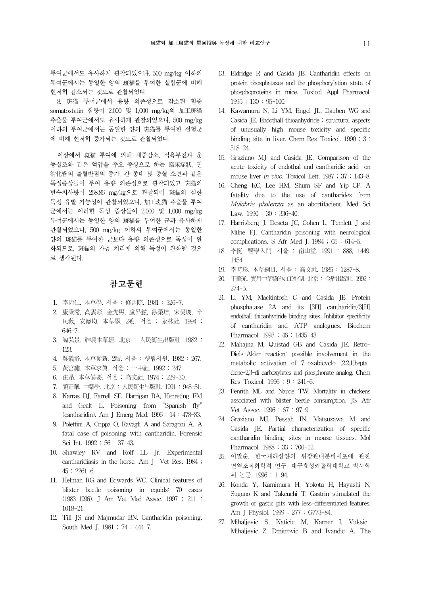투여군에서도 유사하게 관찰되었으나, 500 mg/kg 이하의 투여군에서는 동일한 양의 斑猫를 투여한 실험군에 비해 현저히 감소되는 것으로 관찰되었다.

8. 斑猫 투여군에서 용량 의존성으로 감소된 혈중 somatostatin 함량이 2,000 및 1,000 mg/kg의 加工斑猫 추출물 투여군에서도 유사하게 관찰되었으나, 500 mg/kg 이하의 투여군에서는 동일한 양의 斑猫를 투여한 실험군 에 비해 현저히 증가되는 것으로 관찰되었다.

이상에서 斑猫 투여에 의해 체중감소, 식욕부진과 운 동실조와 같은 억압을 주요 증상으로 하는 臨床症狀, 전 消化管의 출혈반점의 증가, 간 종대 및 충혈 소견과 같은 독성증상들이 투여 용량 의존성으로 관찰되었고 斑猫의 반수치사량이 268.86 mg/kg으로 관찰되어 斑猫의 심한 독성 유발 가능성이 관찰되었으나, 加工斑猫 추출물 투여 군에서는 이러한 독성 증상들이 2,000 및 1,000 mg/kg 투여군에서는 동일한 양의 斑猫를 투여한 군과 유사하게 관찰되었으나, 500 mg/kg 이하의 투여군에서는 동일한 양의 斑猫를 투여한 군보다 용량 의존성으로 독성이 완 화되므로, 斑猫의 가공 처리에 의해 독성이 완화될 것으 로 생각된다.

## 참고문헌

- 1. 李尙仁. 本草學. 서울 : 修書院. 1981 : 326-7.
- 2. 康秉秀, 高雲彩, 金先熙, 盧昇鉉, 徐榮培, 宋昊埈, 辛 民敎, 安德均. 本草學. 2판. 서울 : 永林社. 1994 : 646-7.
- 3. 陶弘景. 神農本草經. 北京 : 人民衛生出版社. 1982 : 123.
- 4. 吳儀洛. 本草從新. 2版. 서울 : 행림서원. 1982 : 267.
- 5. 黃宮繡. 本草求眞. 서울 : 一中社. 1992 : 247.
- 6. 注昻. 本草備要. 서울 : 高文社. 1974 : 229-30.
- 7. 顔正華. 中藥學. 北京 : 人民衛生出版社. 1991 : 948-51.
- 8. Karras DJ, Farrell SE, Harrigan RA, Henreting FM and Gealt L. Poisoning from "Spanish fly" (cantharidin). Am J Emerg Med. 1996 ; 14 : 478-83.
- 9. Polettini A, Crippa O, Ravagli A and Saragoni A. A fatal case of poisoning with cantharidin. Forensic Sci Int. 1992 ; 56 : 37-43.
- 10. Shawley RV and Rolf LL Jr. Experimental cantharidiasis in the horse. Am J Vet Res. 1984 ; 45 : 2261-6.
- 11. Helman RG and Edwards WC. Clinical features of blister beetle poisoning in equids: 70 cases (1983-1996). J Am Vet Med Assoc. 1997 ; 211 : 1018-21.
- 12. Till JS and Majmudar BN. Cantharidin poisoning. South Med I. 1981 ; 74 : 444-7.
- 13. Eldridge R and Casida JE. Cantharidin effects on protein phosphatases and the phosphorylation state of phosphoproteins in mice. Toxicol Appl Pharmacol. 1995 ; 130 : 95-100.
- 14. Kawamura N, Li YM, Engel JL, Dauben WG and Casida JE. Endothall thioanhydride : structural aspects of unusually high mouse toxicity and specific binding site in liver. Chem Res Toxicol. 1990 ; 3 : 318-24.
- 15. Graziano MJ and Casida JE. Comparison of the acute toxicity of endothal and cantharidic acid on mouse liver in vivo. Toxicol Lett. 1987 ; 37 : 143-8.
- 16. Cheng KC, Lee HM, Shum SF and Yip CP. A fatality due to the use of cantharides from Mylabris phalerata as an abortifacient. Med Sci Law. 1990 ; 30 : 336-40.
- 17. Harrisberg J, Deseta JC, Cohen L, Temlett J and Milne FJ. Cantharidin poisoning with neurological complications. S Afr Med J. 1984 ; 65 : 614-5.
- 18. 李挻. 醫學入門. 서울 : 南山堂. 1991 : 888, 1449, 1454.
- 19. 李時珍. 本草綱目. 서울 : 高文社. 1985 : 1287-8.
- 20. 于華光. 實用中草藥的加工炮制. 北京 : 金盾出版社. 1992 : 274-5.
- 21. Li YM, Mackintosh C and Casida JE. Protein phosphatase 2A and its [3H] cantharidin/3[H] endothall thioanhydride binding sites. Inhibitor specificity of cantharidin and ATP analogues. Biochem Pharmacol. 1993 ; 46 : 1435-43.
- 22. Mahajna M, Quistad GB and Casida JE. Retro-Diels-Alder reaction: possible involvement in the metabolic activation of 7-oxabicyclo [2.2.1]heptadiene-2,3-di carboxylates and phosphonate analog. Chem Res Toxicol. 1996 ; 9 : 241-6.
- 23. Penrith ML and Naude TW. Mortality in chickens associated with blister beetle consumption. JS Afr Vet Assoc. 1996 ; 67 : 97-9.
- 24. Graziano MJ, Pessah IN, Matsuzawa M and Casida JE. Partial characterization of specific cantharidin binding sites in mouse tissues. Mol Pharmacol. 1988 ; 33 : 706-12.
- 25. 이말순. 한국재래산양의 위장관내분비세포에 관한 면역조직화학적 연구. 대구효성카톨릭대학교 박사학 위 논문. 1996 : 1-94.
- 26. Konda Y, Kamimura H, Yokota H, Hayashi N, Sugano K and Takeuchi T. Gastrin stimulated the growth of gastic pits with less-differentiated features. Am J Physiol. 1999 ; 277 : G773-84.
- 27. Mihaljevic S, Katicic M, Karner I, Vuksic-Mihaljevic Z, Dmitrovic B and Ivandic A. The